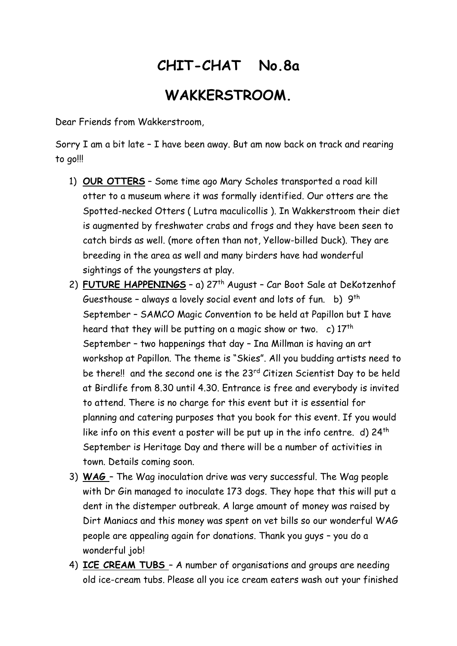## **CHIT-CHAT No.8a WAKKERSTROOM.**

Dear Friends from Wakkerstroom,

Sorry I am a bit late – I have been away. But am now back on track and rearing to go!!!

- 1) **OUR OTTERS** Some time ago Mary Scholes transported a road kill otter to a museum where it was formally identified. Our otters are the Spotted-necked Otters ( Lutra maculicollis ). In Wakkerstroom their diet is augmented by freshwater crabs and frogs and they have been seen to catch birds as well. (more often than not, Yellow-billed Duck). They are breeding in the area as well and many birders have had wonderful sightings of the youngsters at play.
- 2) **FUTURE HAPPENINGS** a) 27th August Car Boot Sale at DeKotzenhof Guesthouse - always a lovely social event and lots of fun.  $\,$  b)  $\,$  9th  $\,$ September – SAMCO Magic Convention to be held at Papillon but I have heard that they will be putting on a magic show or two. c)  $17<sup>th</sup>$ September – two happenings that day – Ina Millman is having an art workshop at Papillon. The theme is "Skies". All you budding artists need to be there!! and the second one is the 23<sup>rd</sup> Citizen Scientist Day to be held at Birdlife from 8.30 until 4.30. Entrance is free and everybody is invited to attend. There is no charge for this event but it is essential for planning and catering purposes that you book for this event. If you would like info on this event a poster will be put up in the info centre. d)  $24<sup>th</sup>$ September is Heritage Day and there will be a number of activities in town. Details coming soon.
- 3) **WAG**  The Wag inoculation drive was very successful. The Wag people with Dr Gin managed to inoculate 173 dogs. They hope that this will put a dent in the distemper outbreak. A large amount of money was raised by Dirt Maniacs and this money was spent on vet bills so our wonderful WAG people are appealing again for donations. Thank you guys – you do a wonderful job!
- 4) **ICE CREAM TUBS**  A number of organisations and groups are needing old ice-cream tubs. Please all you ice cream eaters wash out your finished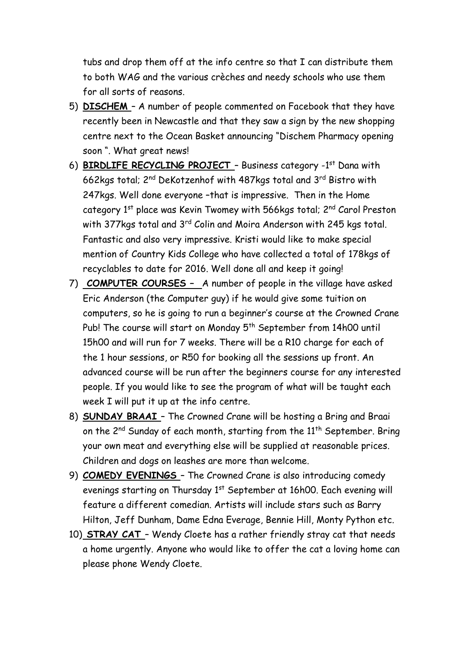tubs and drop them off at the info centre so that I can distribute them to both WAG and the various crèches and needy schools who use them for all sorts of reasons.

- 5) **DISCHEM**  A number of people commented on Facebook that they have recently been in Newcastle and that they saw a sign by the new shopping centre next to the Ocean Basket announcing "Dischem Pharmacy opening soon ". What great news!
- 6) **BIRDLIFE RECYCLING PROJECT** Business category -1<sup>st</sup> Dana with 662kgs total; 2nd DeKotzenhof with 487kgs total and 3rd Bistro with 247kgs. Well done everyone –that is impressive. Then in the Home category 1<sup>st</sup> place was Kevin Twomey with 566kgs total; 2<sup>nd</sup> Carol Preston with 377kgs total and 3<sup>rd</sup> Colin and Moira Anderson with 245 kgs total. Fantastic and also very impressive. Kristi would like to make special mention of Country Kids College who have collected a total of 178kgs of recyclables to date for 2016. Well done all and keep it going!
- 7) **COMPUTER COURSES –** A number of people in the village have asked Eric Anderson (the Computer guy) if he would give some tuition on computers, so he is going to run a beginner's course at the Crowned Crane Pub! The course will start on Monday 5<sup>th</sup> September from 14h00 until 15h00 and will run for 7 weeks. There will be a R10 charge for each of the 1 hour sessions, or R50 for booking all the sessions up front. An advanced course will be run after the beginners course for any interested people. If you would like to see the program of what will be taught each week I will put it up at the info centre.
- 8) **SUNDAY BRAAI**  The Crowned Crane will be hosting a Bring and Braai on the  $2^{nd}$  Sunday of each month, starting from the  $11^{th}$  September. Bring your own meat and everything else will be supplied at reasonable prices. Children and dogs on leashes are more than welcome.
- 9) **COMEDY EVENINGS**  The Crowned Crane is also introducing comedy evenings starting on Thursday 1<sup>st</sup> September at 16h00. Each evening will feature a different comedian. Artists will include stars such as Barry Hilton, Jeff Dunham, Dame Edna Everage, Bennie Hill, Monty Python etc.
- 10) **STRAY CAT**  Wendy Cloete has a rather friendly stray cat that needs a home urgently. Anyone who would like to offer the cat a loving home can please phone Wendy Cloete.